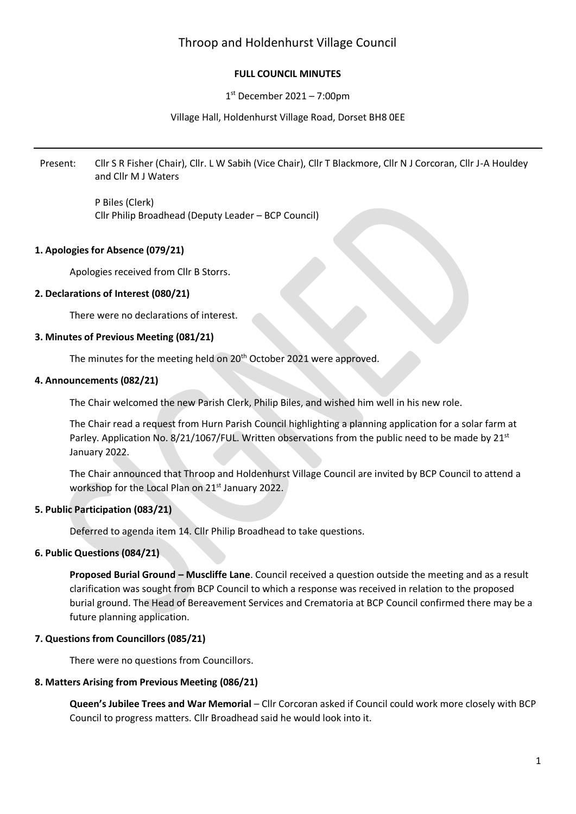# Throop and Holdenhurst Village Council

## **FULL COUNCIL MINUTES**

## 1 st December 2021 – 7:00pm

## Village Hall, Holdenhurst Village Road, Dorset BH8 0EE

Present: Cllr S R Fisher (Chair), Cllr. L W Sabih (Vice Chair), Cllr T Blackmore, Cllr N J Corcoran, Cllr J-A Houldey and Cllr M J Waters

> P Biles (Clerk) Cllr Philip Broadhead (Deputy Leader – BCP Council)

## **1. Apologies for Absence (079/21)**

Apologies received from Cllr B Storrs.

## **2. Declarations of Interest (080/21)**

There were no declarations of interest.

## **3. Minutes of Previous Meeting (081/21)**

The minutes for the meeting held on 20<sup>th</sup> October 2021 were approved.

## **4. Announcements (082/21)**

The Chair welcomed the new Parish Clerk, Philip Biles, and wished him well in his new role.

The Chair read a request from Hurn Parish Council highlighting a planning application for a solar farm at Parley. Application No. 8/21/1067/FUL. Written observations from the public need to be made by 21<sup>st</sup> January 2022.

The Chair announced that Throop and Holdenhurst Village Council are invited by BCP Council to attend a workshop for the Local Plan on 21<sup>st</sup> January 2022.

## **5. Public Participation (083/21)**

Deferred to agenda item 14. Cllr Philip Broadhead to take questions.

#### **6. Public Questions (084/21)**

**Proposed Burial Ground – Muscliffe Lane**. Council received a question outside the meeting and as a result clarification was sought from BCP Council to which a response was received in relation to the proposed burial ground. The Head of Bereavement Services and Crematoria at BCP Council confirmed there may be a future planning application.

#### **7. Questions from Councillors (085/21)**

There were no questions from Councillors.

#### **8. Matters Arising from Previous Meeting (086/21)**

**Queen's Jubilee Trees and War Memorial** – Cllr Corcoran asked if Council could work more closely with BCP Council to progress matters. Cllr Broadhead said he would look into it.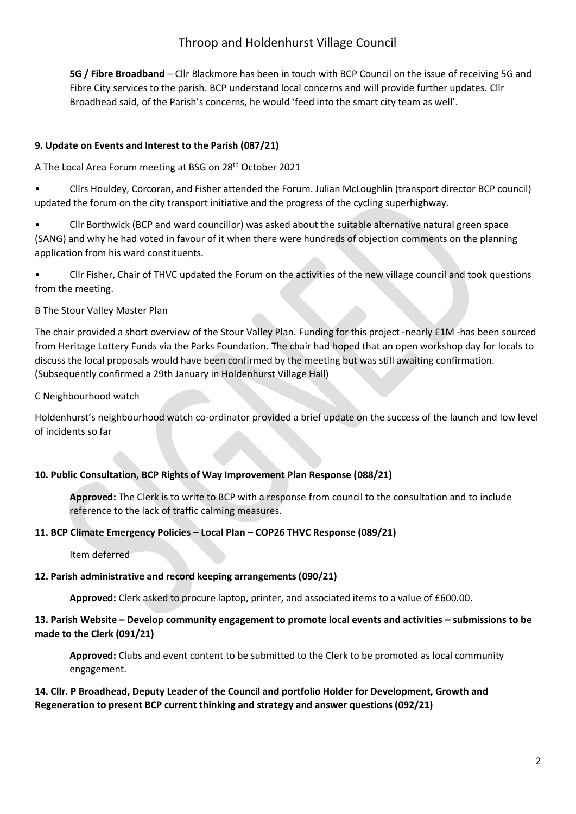# Throop and Holdenhurst Village Council

**5G / Fibre Broadband** – Cllr Blackmore has been in touch with BCP Council on the issue of receiving 5G and Fibre City services to the parish. BCP understand local concerns and will provide further updates. Cllr Broadhead said, of the Parish's concerns, he would 'feed into the smart city team as well'.

## **9. Update on Events and Interest to the Parish (087/21)**

A The Local Area Forum meeting at BSG on 28th October 2021

• Cllrs Houldey, Corcoran, and Fisher attended the Forum. Julian McLoughlin (transport director BCP council) updated the forum on the city transport initiative and the progress of the cycling superhighway.

• Cllr Borthwick (BCP and ward councillor) was asked about the suitable alternative natural green space (SANG) and why he had voted in favour of it when there were hundreds of objection comments on the planning application from his ward constituents.

• Cllr Fisher, Chair of THVC updated the Forum on the activities of the new village council and took questions from the meeting.

## B The Stour Valley Master Plan

The chair provided a short overview of the Stour Valley Plan. Funding for this project -nearly £1M -has been sourced from Heritage Lottery Funds via the Parks Foundation. The chair had hoped that an open workshop day for locals to discuss the local proposals would have been confirmed by the meeting but was still awaiting confirmation. (Subsequently confirmed a 29th January in Holdenhurst Village Hall)

## C Neighbourhood watch

Holdenhurst's neighbourhood watch co-ordinator provided a brief update on the success of the launch and low level of incidents so far

## **10. Public Consultation, BCP Rights of Way Improvement Plan Response (088/21)**

**Approved:** The Clerk is to write to BCP with a response from council to the consultation and to include reference to the lack of traffic calming measures.

#### **11. BCP Climate Emergency Policies – Local Plan – COP26 THVC Response (089/21)**

Item deferred

## **12. Parish administrative and record keeping arrangements (090/21)**

Approved: Clerk asked to procure laptop, printer, and associated items to a value of £600.00.

## **13. Parish Website – Develop community engagement to promote local events and activities – submissions to be made to the Clerk (091/21)**

**Approved:** Clubs and event content to be submitted to the Clerk to be promoted as local community engagement.

## **14. Cllr. P Broadhead, Deputy Leader of the Council and portfolio Holder for Development, Growth and Regeneration to present BCP current thinking and strategy and answer questions (092/21)**